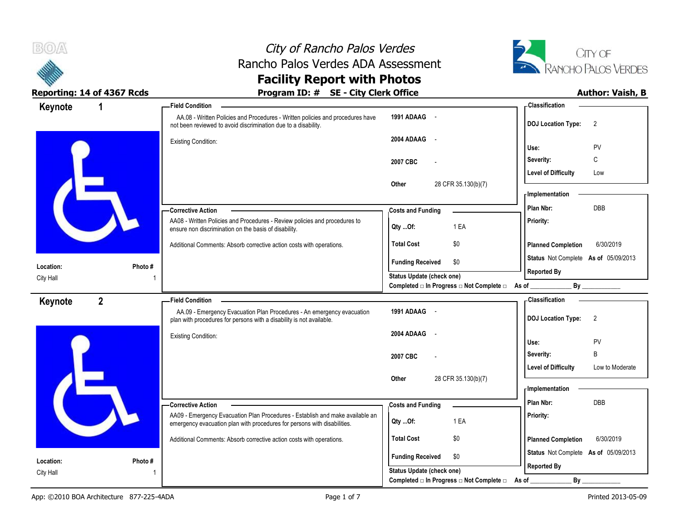



| Keynote   | $\mathbf 1$    | -Field Condition                                                                                                                                          |                                                  | <b>Classification</b>                         |
|-----------|----------------|-----------------------------------------------------------------------------------------------------------------------------------------------------------|--------------------------------------------------|-----------------------------------------------|
|           |                | AA.08 - Written Policies and Procedures - Written policies and procedures have<br>not been reviewed to avoid discrimination due to a disability.          | 1991 ADAAG -                                     | <b>DOJ Location Type:</b><br>$\overline{2}$   |
|           |                | <b>Existing Condition:</b>                                                                                                                                | 2004 ADAAG -                                     | Use:<br>PV                                    |
|           |                |                                                                                                                                                           | 2007 CBC                                         | C<br>Severity:                                |
|           |                |                                                                                                                                                           |                                                  | <b>Level of Difficulty</b><br>Low             |
|           |                |                                                                                                                                                           | Other<br>28 CFR 35.130(b)(7)                     | - Implementation                              |
|           |                | - Corrective Action                                                                                                                                       | <b>Costs and Funding</b>                         | <b>DBB</b><br>Plan Nbr:                       |
|           |                | AA08 - Written Policies and Procedures - Review policies and procedures to<br>ensure non discrimination on the basis of disability.                       | 1 EA<br>Qty Of:                                  | Priority:                                     |
|           |                | Additional Comments: Absorb corrective action costs with operations.                                                                                      | <b>Total Cost</b><br>\$0                         | <b>Planned Completion</b><br>6/30/2019        |
| Location: | Photo#         |                                                                                                                                                           | <b>Funding Received</b><br>\$0                   | Status Not Complete As of 05/09/2013          |
| City Hall |                |                                                                                                                                                           | Status Update (check one)                        | <b>Reported By</b>                            |
|           |                |                                                                                                                                                           | Completed □ In Progress □ Not Complete □ As of _ |                                               |
| Keynote   | $\overline{2}$ | <b>Field Condition</b>                                                                                                                                    |                                                  | - Classification                              |
|           |                | AA.09 - Emergency Evacuation Plan Procedures - An emergency evacuation<br>plan with procedures for persons with a disability is not available.            | 1991 ADAAG -                                     | <b>DOJ Location Type:</b><br>$\overline{2}$   |
|           |                | <b>Existing Condition:</b>                                                                                                                                | 2004 ADAAG -                                     | PV<br>Use:                                    |
|           |                |                                                                                                                                                           | 2007 CBC                                         | B<br>Severity:                                |
|           |                |                                                                                                                                                           |                                                  | <b>Level of Difficulty</b><br>Low to Moderate |
|           |                |                                                                                                                                                           | 28 CFR 35.130(b)(7)<br>Other                     | - Implementation                              |
|           |                | -Corrective Action                                                                                                                                        | <b>Costs and Funding</b>                         | Plan Nbr:<br><b>DBB</b>                       |
|           |                | AA09 - Emergency Evacuation Plan Procedures - Establish and make available an<br>emergency evacuation plan with procedures for persons with disabilities. | 1 EA<br>Qty Of:                                  | Priority:                                     |
|           |                | Additional Comments: Absorb corrective action costs with operations.                                                                                      | \$0<br><b>Total Cost</b>                         | <b>Planned Completion</b><br>6/30/2019        |
| Location: | Photo #        |                                                                                                                                                           | <b>Funding Received</b><br>\$0                   | Status Not Complete As of 05/09/2013          |
| City Hall |                |                                                                                                                                                           | Status Update (check one)                        | <b>Reported By</b>                            |
|           |                |                                                                                                                                                           | Completed □ In Progress □ Not Complete □         | $By_$<br>As of                                |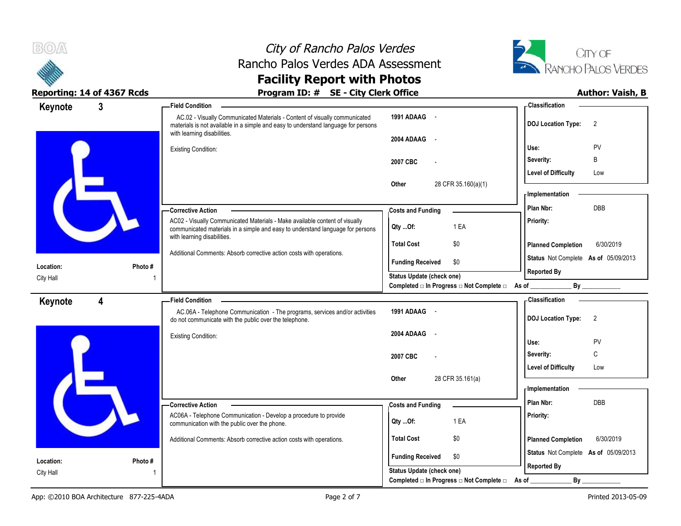



| Keynote   | $\overline{3}$ | - Field Condition                                                                                                                                                                               |                                                         | - Classification                            |
|-----------|----------------|-------------------------------------------------------------------------------------------------------------------------------------------------------------------------------------------------|---------------------------------------------------------|---------------------------------------------|
|           |                | AC.02 - Visually Communicated Materials - Content of visually communicated<br>materials is not available in a simple and easy to understand language for persons<br>with learning disabilities. | 1991 ADAAG -                                            | <b>DOJ Location Type:</b><br>$\overline{2}$ |
|           |                |                                                                                                                                                                                                 | 2004 ADAAG                                              |                                             |
|           |                | <b>Existing Condition:</b>                                                                                                                                                                      |                                                         | PV<br>Use:                                  |
|           |                |                                                                                                                                                                                                 | 2007 CBC                                                | B<br>Severity:                              |
|           |                |                                                                                                                                                                                                 |                                                         | <b>Level of Difficulty</b><br>Low           |
|           |                |                                                                                                                                                                                                 | Other<br>28 CFR 35.160(a)(1)                            |                                             |
|           |                |                                                                                                                                                                                                 |                                                         | <b>Implementation</b>                       |
|           |                | -Corrective Action                                                                                                                                                                              | <b>Costs and Funding</b>                                | Plan Nbr:<br>DBB                            |
|           |                | AC02 - Visually Communicated Materials - Make available content of visually<br>communicated materials in a simple and easy to understand language for persons                                   | 1 EA<br>Qty Of:                                         | Priority:                                   |
|           |                | with learning disabilities.<br>Additional Comments: Absorb corrective action costs with operations.                                                                                             | <b>Total Cost</b><br>\$0                                | <b>Planned Completion</b><br>6/30/2019      |
| Location: | Photo#         |                                                                                                                                                                                                 | <b>Funding Received</b><br>\$0                          | Status Not Complete As of 05/09/2013        |
| City Hall |                |                                                                                                                                                                                                 | Status Update (check one)                               | <b>Reported By</b>                          |
|           |                |                                                                                                                                                                                                 | Completed □ In Progress □ Not Complete □ As of ________ | By                                          |
| Keynote   | 4              | <b>Field Condition</b>                                                                                                                                                                          |                                                         | - Classification                            |
|           |                | AC.06A - Telephone Communication - The programs, services and/or activities<br>do not communicate with the public over the telephone.                                                           | 1991 ADAAG -                                            | <b>DOJ Location Type:</b><br>$\overline{2}$ |
|           |                | <b>Existing Condition:</b>                                                                                                                                                                      | 2004 ADAAG<br>$\sim$                                    |                                             |
|           |                |                                                                                                                                                                                                 |                                                         | Use:<br>PV                                  |
|           |                |                                                                                                                                                                                                 | 2007 CBC                                                | C<br>Severity:                              |
|           |                |                                                                                                                                                                                                 |                                                         | <b>Level of Difficulty</b><br>Low           |
|           |                |                                                                                                                                                                                                 | 28 CFR 35.161(a)<br>Other                               |                                             |
|           |                |                                                                                                                                                                                                 |                                                         | - Implementation                            |
|           |                | -Corrective Action                                                                                                                                                                              | <b>Costs and Funding</b>                                | Plan Nbr:<br>DBB                            |
|           |                | AC06A - Telephone Communication - Develop a procedure to provide<br>communication with the public over the phone.                                                                               | 1 EA<br>$Qty$ Of:                                       | Priority:                                   |
|           |                | Additional Comments: Absorb corrective action costs with operations.                                                                                                                            | <b>Total Cost</b><br>\$0                                | <b>Planned Completion</b><br>6/30/2019      |
| Location: | Photo#         |                                                                                                                                                                                                 | <b>Funding Received</b><br>\$0                          | Status Not Complete As of 05/09/2013        |
| City Hall |                |                                                                                                                                                                                                 | Status Update (check one)                               | <b>Reported By</b>                          |
|           |                |                                                                                                                                                                                                 | Completed □ In Progress □ Not Complete □                | By                                          |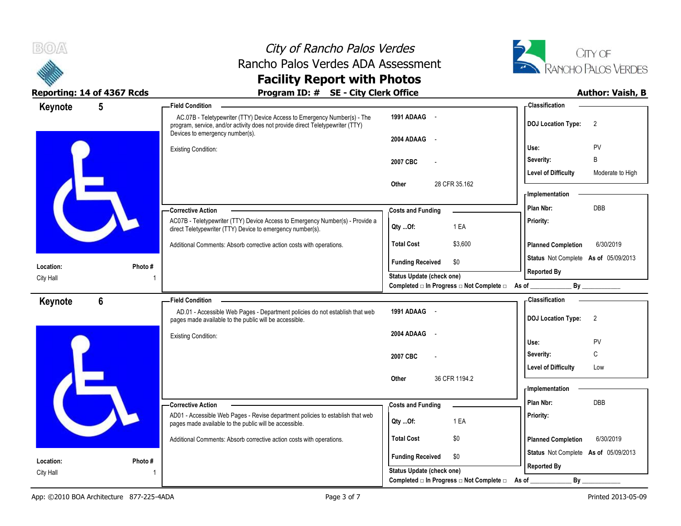



| Keynote   | 5              | <b>Field Condition</b>                                                                                                                                           |                                                                             | Classification                                             |
|-----------|----------------|------------------------------------------------------------------------------------------------------------------------------------------------------------------|-----------------------------------------------------------------------------|------------------------------------------------------------|
|           |                | AC.07B - Teletypewriter (TTY) Device Access to Emergency Number(s) - The<br>program, service, and/or activity does not provide direct Teletypewriter (TTY)       | 1991 ADAAG -                                                                | <b>DOJ Location Type:</b><br>2                             |
|           |                | Devices to emergency number(s).<br><b>Existing Condition:</b>                                                                                                    | 2004 ADAAG<br>$\sim$                                                        | PV<br>Use:                                                 |
|           |                |                                                                                                                                                                  | 2007 CBC                                                                    | B<br>Severity:                                             |
|           |                |                                                                                                                                                                  | Other<br>28 CFR 35.162                                                      | <b>Level of Difficulty</b><br>Moderate to High             |
|           |                |                                                                                                                                                                  |                                                                             | - Implementation                                           |
|           |                | -Corrective Action                                                                                                                                               | <b>Costs and Funding</b>                                                    | Plan Nbr:<br><b>DBB</b>                                    |
|           |                | AC07B - Teletypewriter (TTY) Device Access to Emergency Number(s) - Provide a<br>direct Teletypewriter (TTY) Device to emergency number(s).                      | 1 EA<br>Qty Of:                                                             | Priority:                                                  |
|           |                | Additional Comments: Absorb corrective action costs with operations.                                                                                             | \$3,600<br><b>Total Cost</b>                                                | <b>Planned Completion</b><br>6/30/2019                     |
| Location: | Photo#         |                                                                                                                                                                  | \$0<br><b>Funding Received</b>                                              | Status Not Complete As of 05/09/2013<br><b>Reported By</b> |
| City Hall |                |                                                                                                                                                                  | Status Update (check one)<br>Completed □ In Progress □ Not Complete □ As of | <b>By</b>                                                  |
|           |                |                                                                                                                                                                  |                                                                             |                                                            |
| Keynote   | $6\phantom{a}$ | <b>Field Condition</b><br>AD.01 - Accessible Web Pages - Department policies do not establish that web<br>pages made available to the public will be accessible. | 1991 ADAAG -                                                                | <b>Classification</b><br><b>DOJ Location Type:</b><br>2    |
|           |                | <b>Existing Condition:</b>                                                                                                                                       | 2004 ADAAG -                                                                |                                                            |
|           |                |                                                                                                                                                                  |                                                                             | Use:<br><b>PV</b><br>C<br>Severity:                        |
|           |                |                                                                                                                                                                  | 2007 CBC                                                                    | <b>Level of Difficulty</b><br>Low                          |
|           |                |                                                                                                                                                                  | 36 CFR 1194.2<br>Other                                                      |                                                            |
|           |                |                                                                                                                                                                  |                                                                             | - Implementation                                           |
|           |                | - Corrective Action                                                                                                                                              | <b>Costs and Funding</b>                                                    | Plan Nbr:<br><b>DBB</b>                                    |
|           |                | AD01 - Accessible Web Pages - Revise department policies to establish that web<br>pages made available to the public will be accessible.                         | 1 EA<br>$Qty$ Of:                                                           | Priority:                                                  |
|           |                | Additional Comments: Absorb corrective action costs with operations.                                                                                             | \$0<br><b>Total Cost</b>                                                    | <b>Planned Completion</b><br>6/30/2019                     |
| Location: | Photo #        |                                                                                                                                                                  | <b>Funding Received</b><br>\$0                                              | Status Not Complete As of 05/09/2013<br><b>Reported By</b> |
| City Hall |                |                                                                                                                                                                  | Status Update (check one)                                                   |                                                            |
|           |                |                                                                                                                                                                  | Completed □ In Progress □ Not Complete □ As of                              | $By_$                                                      |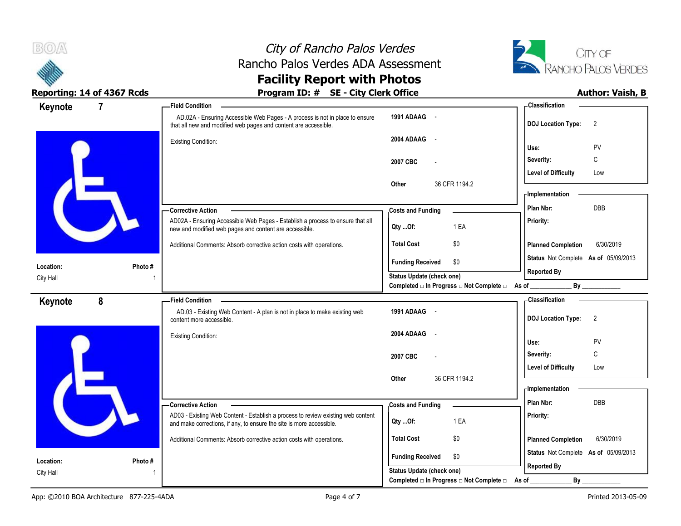

# City of Rancho Palos Verdes Rancho Palos Verdes ADA Assessment



### **Facility Report with Photos Reporting: 14 of 4367 Rcds Program ID: # SE - City Clerk Office Author: Vaish, B**

|           | Neporting: 17 or 7507 news | $10$ and $10.7$ $\sigma$ set they eld in order                                                                                                           |                                                                                 | AWWIVII YWIJII/ P                           |
|-----------|----------------------------|----------------------------------------------------------------------------------------------------------------------------------------------------------|---------------------------------------------------------------------------------|---------------------------------------------|
| Keynote   | $\overline{7}$             | Field Condition –                                                                                                                                        |                                                                                 | <b>Classification</b>                       |
|           |                            | AD.02A - Ensuring Accessible Web Pages - A process is not in place to ensure<br>that all new and modified web pages and content are accessible.          | 1991 ADAAG -                                                                    | <b>DOJ Location Type:</b><br>$\overline{2}$ |
|           |                            | <b>Existing Condition:</b>                                                                                                                               | 2004 ADAAG<br>$\sim$                                                            |                                             |
|           |                            |                                                                                                                                                          |                                                                                 | PV<br>Use:                                  |
|           |                            |                                                                                                                                                          | 2007 CBC                                                                        | Severity:<br>C                              |
|           |                            |                                                                                                                                                          |                                                                                 | <b>Level of Difficulty</b><br>Low           |
|           |                            |                                                                                                                                                          | 36 CFR 1194.2<br>Other                                                          |                                             |
|           |                            |                                                                                                                                                          |                                                                                 | <b>Implementation</b>                       |
|           |                            | -Corrective Action                                                                                                                                       | <b>Costs and Funding</b>                                                        | <b>DBB</b><br>Plan Nbr:                     |
|           |                            | AD02A - Ensuring Accessible Web Pages - Establish a process to ensure that all<br>new and modified web pages and content are accessible.                 | 1 EA<br>Qty Of:                                                                 | Priority:                                   |
|           |                            | Additional Comments: Absorb corrective action costs with operations.                                                                                     | \$0<br><b>Total Cost</b>                                                        | <b>Planned Completion</b><br>6/30/2019      |
|           |                            |                                                                                                                                                          | <b>Funding Received</b><br>\$0                                                  | Status Not Complete As of 05/09/2013        |
| Location: | Photo #                    |                                                                                                                                                          | <b>Status Update (check one)</b>                                                | <b>Reported By</b>                          |
| City Hall |                            |                                                                                                                                                          | Completed $\square$ In Progress $\square$ Not Complete $\square$ As of ________ | By                                          |
| Keynote   | 8                          | <b>Field Condition</b>                                                                                                                                   |                                                                                 | <b>Classification</b>                       |
|           |                            | AD.03 - Existing Web Content - A plan is not in place to make existing web<br>content more accessible.                                                   | 1991 ADAAG -                                                                    | <b>DOJ Location Type:</b><br>$\overline{2}$ |
|           |                            | <b>Existing Condition:</b>                                                                                                                               | 2004 ADAAG                                                                      |                                             |
|           |                            |                                                                                                                                                          |                                                                                 | Use:<br>PV                                  |
|           |                            |                                                                                                                                                          | 2007 CBC                                                                        | C<br>Severity:                              |
|           |                            |                                                                                                                                                          |                                                                                 | <b>Level of Difficulty</b><br>Low           |
|           |                            |                                                                                                                                                          | Other<br>36 CFR 1194.2                                                          |                                             |
|           |                            |                                                                                                                                                          |                                                                                 | - Implementation                            |
|           |                            | <b>Corrective Action</b>                                                                                                                                 | <b>Costs and Funding</b>                                                        | DBB<br>Plan Nbr:                            |
|           |                            | AD03 - Existing Web Content - Establish a process to review existing web content<br>and make corrections, if any, to ensure the site is more accessible. | 1 EA<br>Qty Of:                                                                 | Priority:                                   |
|           |                            | Additional Comments: Absorb corrective action costs with operations.                                                                                     | <b>Total Cost</b><br>\$0                                                        | 6/30/2019<br><b>Planned Completion</b>      |
| Location: | Photo #                    |                                                                                                                                                          | <b>Funding Received</b><br>\$0                                                  | Status Not Complete As of 05/09/2013        |
| City Hall |                            |                                                                                                                                                          | Status Update (check one)                                                       | <b>Reported By</b>                          |
|           |                            |                                                                                                                                                          | Completed □ In Progress □ Not Complete □ As of                                  | By                                          |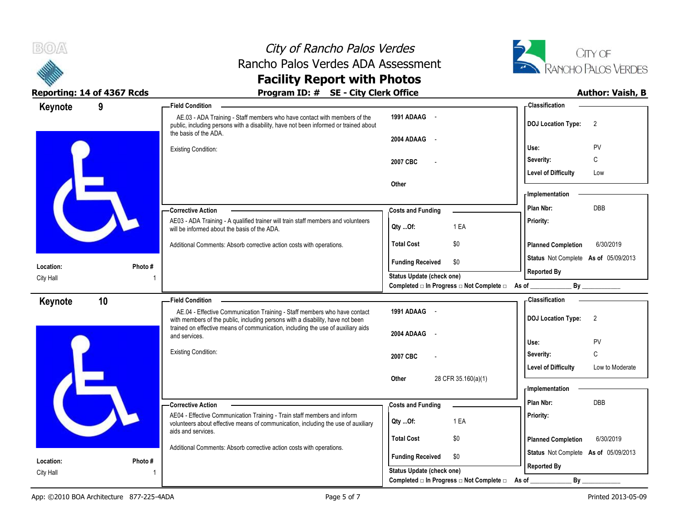



### **Reporting: 14 of 4367 Rcds Program ID: # SE - City Clerk Office Author: Vaish, B**

 AE.03 - ADA Training - Staff members who have contact with members of the public, including persons with a disability, have not been informed or trained about the basis of the ADA. Existing Condition: AE03 - ADA Training - A qualified trainer will train staff members and volunteers will be informed about the basis of the ADA. Additional Comments: Absorb corrective action costs with operations. **Corrective Action Photo #** 1 **1991 ADAAG** - **2004 ADAAG** - **2007 CBC** - **Other Priority: Total Cost** \$0 **9 Field Condition Status** Not Complete **As of** 05/09/2013 **Keynote Costs and Funding <b>Plan Nbr:** DBB **Use:** PV **Severity:** C **DOJ Location Type:** 2 **Level of Difficulty** Low **Location:** City Hall **Planned Completion** 6/30/2019 **Classification Implementation Funding Received \$0 Status Update (check one)** Completed □ In Progress □ Not Complete □ As of \_\_\_\_\_\_\_\_\_\_\_\_\_\_\_\_\_\_\_\_\_\_\_\_\_\_\_\_\_\_\_\_\_ **Reported By Qty ...Of:** 1 EA AE.04 - Effective Communication Training - Staff members who have contact with members of the public, including persons with a disability, have not been trained on effective means of communication, including the use of auxiliary aids and services. Existing Condition: AE04 - Effective Communication Training - Train staff members and inform volunteers about effective means of communication, including the use of auxiliary aids and services. Additional Comments: Absorb corrective action costs with operations. **Corrective Action Photo #** 1 **1991 ADAAG** - **2004 ADAAG** - **2007 CBC** - **Other** 28 CFR 35.160(a)(1) **Priority: Total Cost** \$0 **10 Field Condition Status** Not Complete **As of** 05/09/2013 **Keynote Costs and Funding <b>Plan Nbr:** DBB **Use:** PV **Severity:** C **DOJ Location Type:** 2 **Level of Difficulty** Low to Moderate **Location:** City Hall **Planned Completion** 6/30/2019 **Classification Implementation Funding Received \$0 Status Update (check one)** Completed □ In Progress □ Not Complete □ As of \_\_\_\_\_\_\_\_\_\_\_\_\_\_\_\_\_\_\_\_\_\_\_\_\_\_\_\_\_\_\_\_\_ **Reported By Qty ...Of:** 1 EA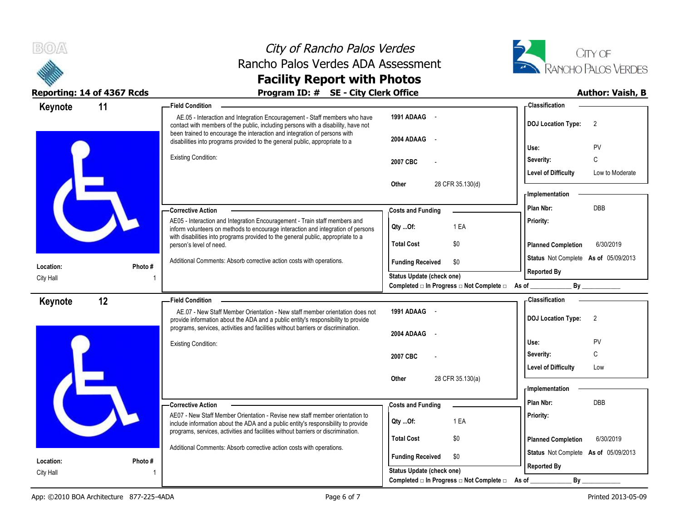



| Keynote                | 11      | <b>Field Condition</b>                                                                                                                                                 |                                                                       | - Classification                                                               |
|------------------------|---------|------------------------------------------------------------------------------------------------------------------------------------------------------------------------|-----------------------------------------------------------------------|--------------------------------------------------------------------------------|
|                        |         | AE.05 - Interaction and Integration Encouragement - Staff members who have<br>contact with members of the public, including persons with a disability, have not        | 1991 ADAAG -                                                          | <b>DOJ Location Type:</b><br>$\overline{2}$                                    |
|                        |         | been trained to encourage the interaction and integration of persons with<br>disabilities into programs provided to the general public, appropriate to a               | 2004 ADAAG<br>$\sim$                                                  | PV<br>Use:                                                                     |
|                        |         | <b>Existing Condition:</b>                                                                                                                                             | 2007 CBC                                                              | C<br>Severity:                                                                 |
|                        |         |                                                                                                                                                                        |                                                                       | <b>Level of Difficulty</b><br>Low to Moderate                                  |
|                        |         |                                                                                                                                                                        | 28 CFR 35.130(d)<br>Other                                             | <b>Implementation</b>                                                          |
|                        |         | - Corrective Action                                                                                                                                                    | <b>Costs and Funding</b>                                              | <b>DBB</b><br>Plan Nbr:                                                        |
|                        |         | AE05 - Interaction and Integration Encouragement - Train staff members and<br>inform volunteers on methods to encourage interaction and integration of persons         | 1 EA<br>Qty Of:                                                       | Priority:                                                                      |
|                        |         | with disabilities into programs provided to the general public, appropriate to a<br>person's level of need.                                                            | <b>Total Cost</b><br>\$0                                              | <b>Planned Completion</b><br>6/30/2019                                         |
| Location:              | Photo # | Additional Comments: Absorb corrective action costs with operations.                                                                                                   | <b>Funding Received</b><br>\$0                                        | Status Not Complete As of 05/09/2013                                           |
| City Hall              |         |                                                                                                                                                                        | Status Update (check one)<br>Completed □ In Progress □ Not Complete □ | <b>Reported By</b><br>As of<br>By                                              |
| Keynote                | 12      | - Field Condition                                                                                                                                                      |                                                                       | <b>Classification</b>                                                          |
|                        |         | AE.07 - New Staff Member Orientation - New staff member orientation does not<br>provide information about the ADA and a public entity's responsibility to provide      | 1991 ADAAG -                                                          | <b>DOJ Location Type:</b><br>$\overline{2}$                                    |
|                        |         | programs, services, activities and facilities without barriers or discrimination.                                                                                      | 2004 ADAAG<br>$\sim$                                                  | PV<br>Use:                                                                     |
|                        |         | Existing Condition:                                                                                                                                                    |                                                                       | $\mathsf C$<br>Severity:                                                       |
|                        |         |                                                                                                                                                                        | 2007 CBC                                                              |                                                                                |
|                        |         |                                                                                                                                                                        |                                                                       | <b>Level of Difficulty</b><br>Low                                              |
|                        |         |                                                                                                                                                                        | 28 CFR 35.130(a)<br>Other                                             |                                                                                |
|                        |         |                                                                                                                                                                        |                                                                       | - Implementation<br>Plan Nbr:<br><b>DBB</b>                                    |
|                        |         | Corrective Action<br>AE07 - New Staff Member Orientation - Revise new staff member orientation to                                                                      | <b>Costs and Funding</b>                                              | Priority:                                                                      |
|                        |         | include information about the ADA and a public entity's responsibility to provide<br>programs, services, activities and facilities without barriers or discrimination. | 1 EA<br>Qty Of:                                                       |                                                                                |
|                        |         | Additional Comments: Absorb corrective action costs with operations.                                                                                                   | <b>Total Cost</b><br>\$0                                              | <b>Planned Completion</b><br>6/30/2019<br>Status Not Complete As of 05/09/2013 |
| Location:<br>City Hall | Photo # |                                                                                                                                                                        | <b>Funding Received</b><br>\$0<br><b>Status Update (check one)</b>    | <b>Reported By</b>                                                             |